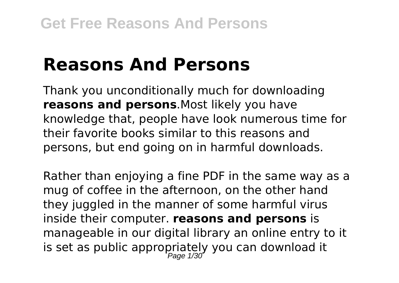## **Reasons And Persons**

Thank you unconditionally much for downloading **reasons and persons**.Most likely you have knowledge that, people have look numerous time for their favorite books similar to this reasons and persons, but end going on in harmful downloads.

Rather than enjoying a fine PDF in the same way as a mug of coffee in the afternoon, on the other hand they juggled in the manner of some harmful virus inside their computer. **reasons and persons** is manageable in our digital library an online entry to it is set as public appropriately you can download it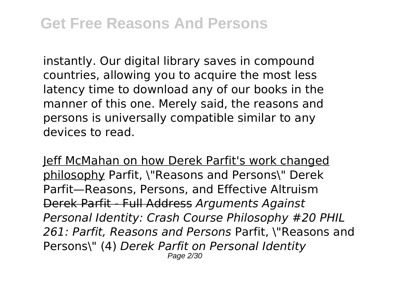instantly. Our digital library saves in compound countries, allowing you to acquire the most less latency time to download any of our books in the manner of this one. Merely said, the reasons and persons is universally compatible similar to any devices to read.

Jeff McMahan on how Derek Parfit's work changed philosophy Parfit, \"Reasons and Persons\" Derek Parfit—Reasons, Persons, and Effective Altruism Derek Parfit - Full Address *Arguments Against Personal Identity: Crash Course Philosophy #20 PHIL 261: Parfit, Reasons and Persons* Parfit, \"Reasons and Persons\" (4) *Derek Parfit on Personal Identity* Page 2/30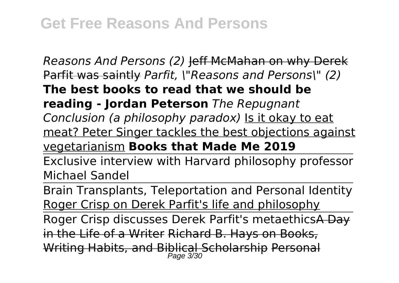*Reasons And Persons (2)* Jeff McMahan on why Derek Parfit was saintly *Parfit, \"Reasons and Persons\" (2)* **The best books to read that we should be reading - Jordan Peterson** *The Repugnant Conclusion (a philosophy paradox)* Is it okay to eat meat? Peter Singer tackles the best objections against vegetarianism **Books that Made Me 2019** Exclusive interview with Harvard philosophy professor Michael Sandel Brain Transplants, Teleportation and Personal Identity Roger Crisp on Derek Parfit's life and philosophy

Roger Crisp discusses Derek Parfit's metaethicsA Day in the Life of a Writer Richard B. Hays on Books, Writing Habits, and Biblical Scholarship Personal Page 3/30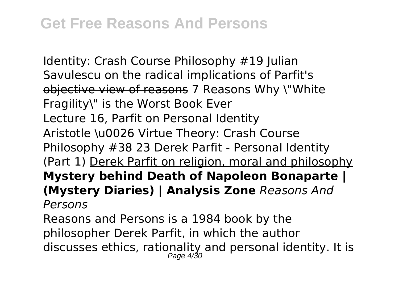Identity: Crash Course Philosophy #19 Iulian Savulescu on the radical implications of Parfit's objective view of reasons 7 Reasons Why \"White Fragility\" is the Worst Book Ever

Lecture 16, Parfit on Personal Identity

Aristotle \u0026 Virtue Theory: Crash Course Philosophy #38 23 Derek Parfit - Personal Identity (Part 1) Derek Parfit on religion, moral and philosophy **Mystery behind Death of Napoleon Bonaparte | (Mystery Diaries) | Analysis Zone** *Reasons And Persons*

Reasons and Persons is a 1984 book by the philosopher Derek Parfit, in which the author discusses ethics, rationality and personal identity. It is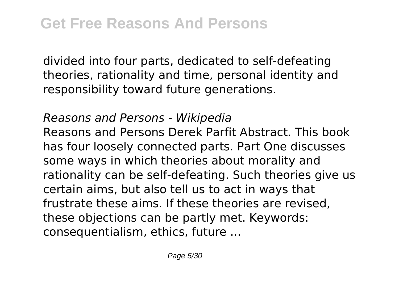divided into four parts, dedicated to self-defeating theories, rationality and time, personal identity and responsibility toward future generations.

## *Reasons and Persons - Wikipedia*

Reasons and Persons Derek Parfit Abstract. This book has four loosely connected parts. Part One discusses some ways in which theories about morality and rationality can be self‐defeating. Such theories give us certain aims, but also tell us to act in ways that frustrate these aims. If these theories are revised, these objections can be partly met. Keywords: consequentialism, ethics, future ...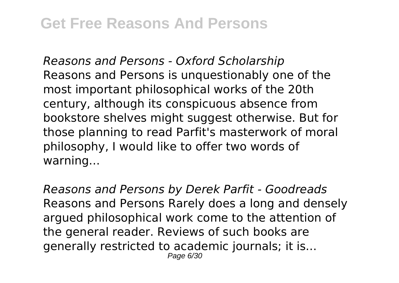*Reasons and Persons - Oxford Scholarship* Reasons and Persons is unquestionably one of the most important philosophical works of the 20th century, although its conspicuous absence from bookstore shelves might suggest otherwise. But for those planning to read Parfit's masterwork of moral philosophy, I would like to offer two words of warning...

*Reasons and Persons by Derek Parfit - Goodreads* Reasons and Persons Rarely does a long and densely argued philosophical work come to the attention of the general reader. Reviews of such books are generally restricted to academic journals; it is... Page 6/30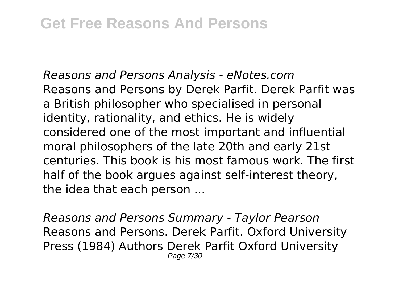*Reasons and Persons Analysis - eNotes.com* Reasons and Persons by Derek Parfit. Derek Parfit was a British philosopher who specialised in personal identity, rationality, and ethics. He is widely considered one of the most important and influential moral philosophers of the late 20th and early 21st centuries. This book is his most famous work. The first half of the book argues against self-interest theory, the idea that each person ...

*Reasons and Persons Summary - Taylor Pearson* Reasons and Persons. Derek Parfit. Oxford University Press (1984) Authors Derek Parfit Oxford University Page 7/30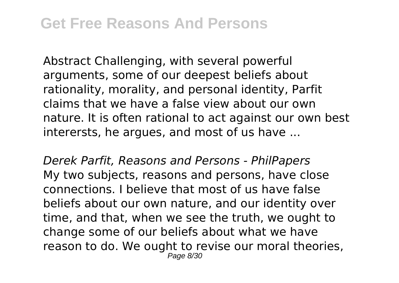Abstract Challenging, with several powerful arguments, some of our deepest beliefs about rationality, morality, and personal identity, Parfit claims that we have a false view about our own nature. It is often rational to act against our own best interersts, he argues, and most of us have ...

*Derek Parfit, Reasons and Persons - PhilPapers* My two subjects, reasons and persons, have close connections. I believe that most of us have false beliefs about our own nature, and our identity over time, and that, when we see the truth, we ought to change some of our beliefs about what we have reason to do. We ought to revise our moral theories, Page 8/30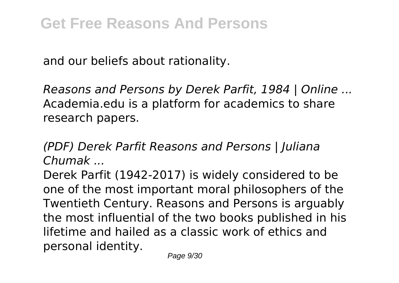and our beliefs about rationality.

*Reasons and Persons by Derek Parfit, 1984 | Online ...* Academia.edu is a platform for academics to share research papers.

*(PDF) Derek Parfit Reasons and Persons | Juliana Chumak ...*

Derek Parfit (1942-2017) is widely considered to be one of the most important moral philosophers of the Twentieth Century. Reasons and Persons is arguably the most influential of the two books published in his lifetime and hailed as a classic work of ethics and personal identity.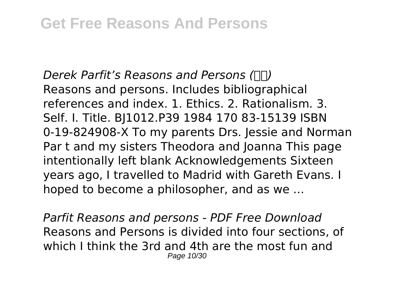*Derek Parfit's Reasons and Persons (豆瓣)* Reasons and persons. Includes bibliographical references and index. 1. Ethics. 2. Rationalism. 3. Self. I. Title. BJ1012.P39 1984 170 83-15139 ISBN 0-19-824908-X To my parents Drs. Jessie and Norman Par t and my sisters Theodora and Joanna This page intentionally left blank Acknowledgements Sixteen years ago, I travelled to Madrid with Gareth Evans. I hoped to become a philosopher, and as we ...

*Parfit Reasons and persons - PDF Free Download* Reasons and Persons is divided into four sections, of which I think the 3rd and 4th are the most fun and Page 10/30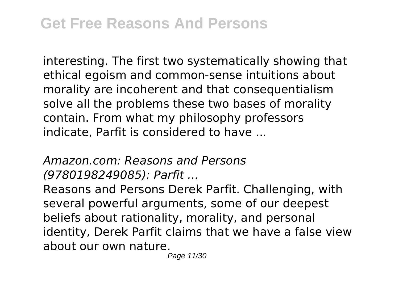interesting. The first two systematically showing that ethical egoism and common-sense intuitions about morality are incoherent and that consequentialism solve all the problems these two bases of morality contain. From what my philosophy professors indicate, Parfit is considered to have ...

*Amazon.com: Reasons and Persons (9780198249085): Parfit ...*

Reasons and Persons Derek Parfit. Challenging, with several powerful arguments, some of our deepest beliefs about rationality, morality, and personal identity, Derek Parfit claims that we have a false view about our own nature.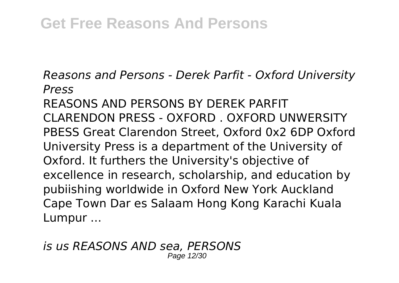*Reasons and Persons - Derek Parfit - Oxford University Press*

REASONS AND PERSONS BY DEREK PARFIT CLARENDON PRESS - OXFORD . OXFORD UNWERSITY PBESS Great Clarendon Street, Oxford 0x2 6DP Oxford University Press is a department of the University of Oxford. It furthers the University's objective of excellence in research, scholarship, and education by pubiishing worldwide in Oxford New York Auckland Cape Town Dar es Salaam Hong Kong Karachi Kuala Lumpur ...

*is us REASONS AND sea, PERSONS* Page 12/30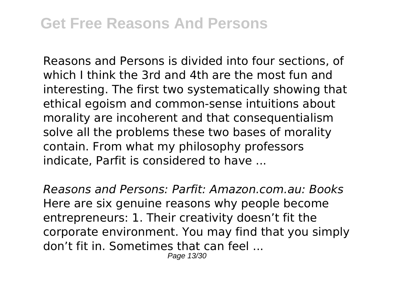Reasons and Persons is divided into four sections, of which I think the 3rd and 4th are the most fun and interesting. The first two systematically showing that ethical egoism and common-sense intuitions about morality are incoherent and that consequentialism solve all the problems these two bases of morality contain. From what my philosophy professors indicate, Parfit is considered to have ...

*Reasons and Persons: Parfit: Amazon.com.au: Books* Here are six genuine reasons why people become entrepreneurs: 1. Their creativity doesn't fit the corporate environment. You may find that you simply don't fit in. Sometimes that can feel ...

Page 13/30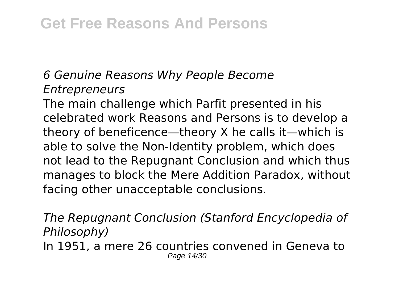## *6 Genuine Reasons Why People Become Entrepreneurs*

The main challenge which Parfit presented in his celebrated work Reasons and Persons is to develop a theory of beneficence—theory X he calls it—which is able to solve the Non-Identity problem, which does not lead to the Repugnant Conclusion and which thus manages to block the Mere Addition Paradox, without facing other unacceptable conclusions.

*The Repugnant Conclusion (Stanford Encyclopedia of Philosophy)* In 1951, a mere 26 countries convened in Geneva to Page 14/30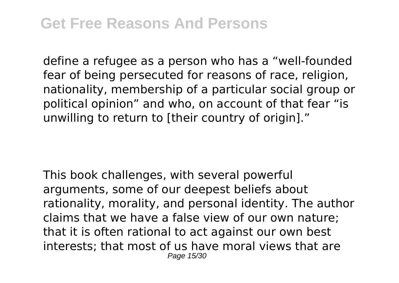define a refugee as a person who has a "well-founded fear of being persecuted for reasons of race, religion, nationality, membership of a particular social group or political opinion" and who, on account of that fear "is unwilling to return to [their country of origin]."

This book challenges, with several powerful arguments, some of our deepest beliefs about rationality, morality, and personal identity. The author claims that we have a false view of our own nature; that it is often rational to act against our own best interests; that most of us have moral views that are Page 15/30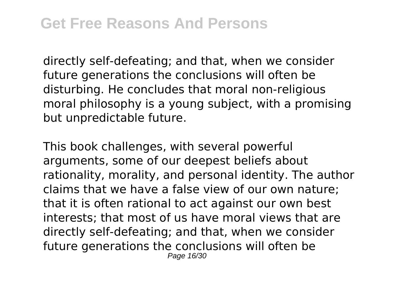directly self-defeating; and that, when we consider future generations the conclusions will often be disturbing. He concludes that moral non-religious moral philosophy is a young subject, with a promising but unpredictable future.

This book challenges, with several powerful arguments, some of our deepest beliefs about rationality, morality, and personal identity. The author claims that we have a false view of our own nature; that it is often rational to act against our own best interests; that most of us have moral views that are directly self-defeating; and that, when we consider future generations the conclusions will often be Page 16/30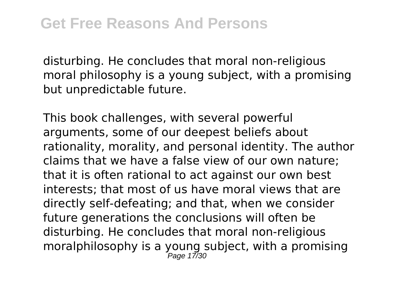disturbing. He concludes that moral non-religious moral philosophy is a young subject, with a promising but unpredictable future.

This book challenges, with several powerful arguments, some of our deepest beliefs about rationality, morality, and personal identity. The author claims that we have a false view of our own nature; that it is often rational to act against our own best interests; that most of us have moral views that are directly self-defeating; and that, when we consider future generations the conclusions will often be disturbing. He concludes that moral non-religious moralphilosophy is a young subject, with a promising Page 17/30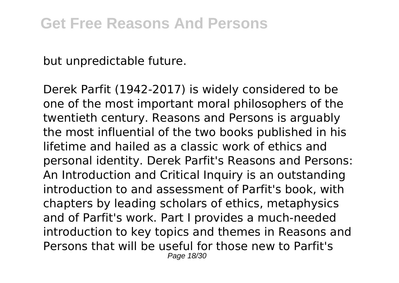but unpredictable future.

Derek Parfit (1942-2017) is widely considered to be one of the most important moral philosophers of the twentieth century. Reasons and Persons is arguably the most influential of the two books published in his lifetime and hailed as a classic work of ethics and personal identity. Derek Parfit's Reasons and Persons: An Introduction and Critical Inquiry is an outstanding introduction to and assessment of Parfit's book, with chapters by leading scholars of ethics, metaphysics and of Parfit's work. Part I provides a much-needed introduction to key topics and themes in Reasons and Persons that will be useful for those new to Parfit's Page 18/30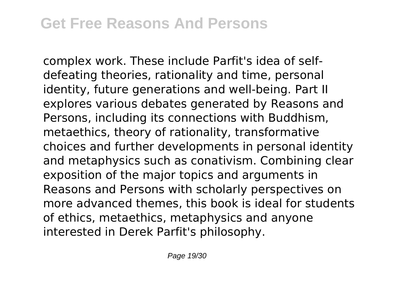complex work. These include Parfit's idea of selfdefeating theories, rationality and time, personal identity, future generations and well-being. Part II explores various debates generated by Reasons and Persons, including its connections with Buddhism, metaethics, theory of rationality, transformative choices and further developments in personal identity and metaphysics such as conativism. Combining clear exposition of the major topics and arguments in Reasons and Persons with scholarly perspectives on more advanced themes, this book is ideal for students of ethics, metaethics, metaphysics and anyone interested in Derek Parfit's philosophy.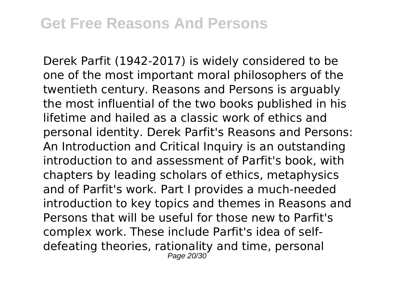Derek Parfit (1942-2017) is widely considered to be one of the most important moral philosophers of the twentieth century. Reasons and Persons is arguably the most influential of the two books published in his lifetime and hailed as a classic work of ethics and personal identity. Derek Parfit's Reasons and Persons: An Introduction and Critical Inquiry is an outstanding introduction to and assessment of Parfit's book, with chapters by leading scholars of ethics, metaphysics and of Parfit's work. Part I provides a much-needed introduction to key topics and themes in Reasons and Persons that will be useful for those new to Parfit's complex work. These include Parfit's idea of selfdefeating theories, rationality and time, personal Page 20/30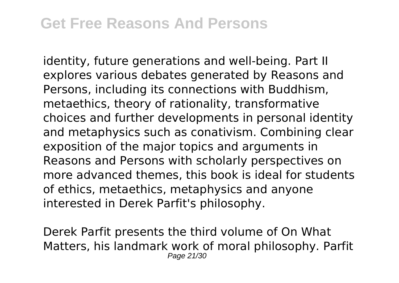identity, future generations and well-being. Part II explores various debates generated by Reasons and Persons, including its connections with Buddhism, metaethics, theory of rationality, transformative choices and further developments in personal identity and metaphysics such as conativism. Combining clear exposition of the major topics and arguments in Reasons and Persons with scholarly perspectives on more advanced themes, this book is ideal for students of ethics, metaethics, metaphysics and anyone interested in Derek Parfit's philosophy.

Derek Parfit presents the third volume of On What Matters, his landmark work of moral philosophy. Parfit Page 21/30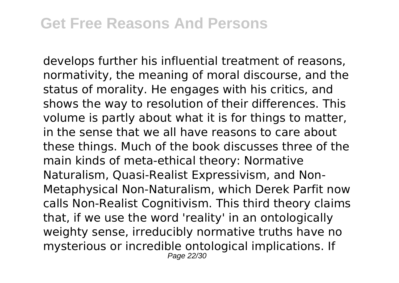develops further his influential treatment of reasons, normativity, the meaning of moral discourse, and the status of morality. He engages with his critics, and shows the way to resolution of their differences. This volume is partly about what it is for things to matter, in the sense that we all have reasons to care about these things. Much of the book discusses three of the main kinds of meta-ethical theory: Normative Naturalism, Quasi-Realist Expressivism, and Non-Metaphysical Non-Naturalism, which Derek Parfit now calls Non-Realist Cognitivism. This third theory claims that, if we use the word 'reality' in an ontologically weighty sense, irreducibly normative truths have no mysterious or incredible ontological implications. If Page 22/30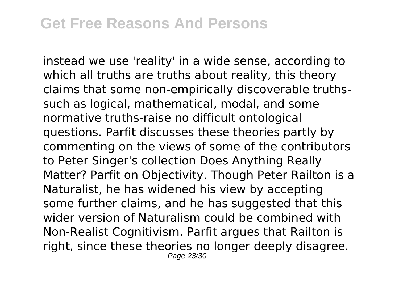instead we use 'reality' in a wide sense, according to which all truths are truths about reality, this theory claims that some non-empirically discoverable truthssuch as logical, mathematical, modal, and some normative truths-raise no difficult ontological questions. Parfit discusses these theories partly by commenting on the views of some of the contributors to Peter Singer's collection Does Anything Really Matter? Parfit on Objectivity. Though Peter Railton is a Naturalist, he has widened his view by accepting some further claims, and he has suggested that this wider version of Naturalism could be combined with Non-Realist Cognitivism. Parfit argues that Railton is right, since these theories no longer deeply disagree. Page 23/30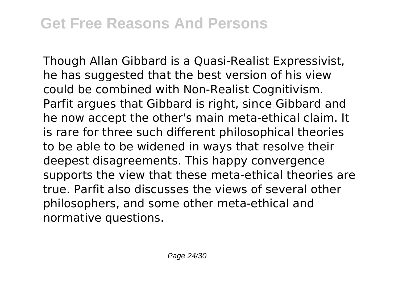Though Allan Gibbard is a Quasi-Realist Expressivist, he has suggested that the best version of his view could be combined with Non-Realist Cognitivism. Parfit argues that Gibbard is right, since Gibbard and he now accept the other's main meta-ethical claim. It is rare for three such different philosophical theories to be able to be widened in ways that resolve their deepest disagreements. This happy convergence supports the view that these meta-ethical theories are true. Parfit also discusses the views of several other philosophers, and some other meta-ethical and normative questions.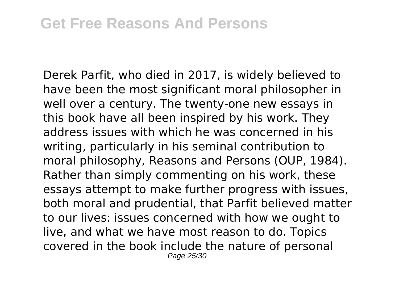Derek Parfit, who died in 2017, is widely believed to have been the most significant moral philosopher in well over a century. The twenty-one new essays in this book have all been inspired by his work. They address issues with which he was concerned in his writing, particularly in his seminal contribution to moral philosophy, Reasons and Persons (OUP, 1984). Rather than simply commenting on his work, these essays attempt to make further progress with issues, both moral and prudential, that Parfit believed matter to our lives: issues concerned with how we ought to live, and what we have most reason to do. Topics covered in the book include the nature of personal Page 25/30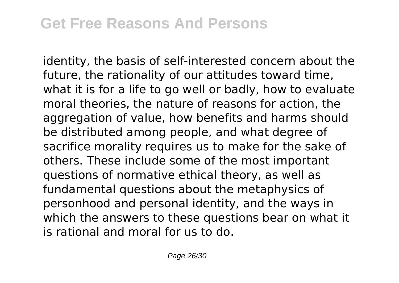identity, the basis of self-interested concern about the future, the rationality of our attitudes toward time, what it is for a life to go well or badly, how to evaluate moral theories, the nature of reasons for action, the aggregation of value, how benefits and harms should be distributed among people, and what degree of sacrifice morality requires us to make for the sake of others. These include some of the most important questions of normative ethical theory, as well as fundamental questions about the metaphysics of personhood and personal identity, and the ways in which the answers to these questions bear on what it is rational and moral for us to do.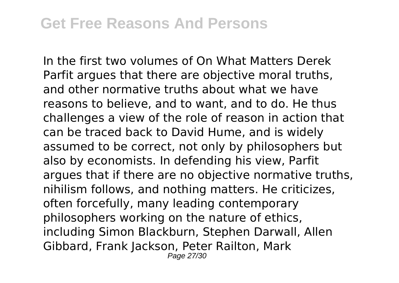In the first two volumes of On What Matters Derek Parfit argues that there are objective moral truths, and other normative truths about what we have reasons to believe, and to want, and to do. He thus challenges a view of the role of reason in action that can be traced back to David Hume, and is widely assumed to be correct, not only by philosophers but also by economists. In defending his view, Parfit argues that if there are no objective normative truths, nihilism follows, and nothing matters. He criticizes, often forcefully, many leading contemporary philosophers working on the nature of ethics, including Simon Blackburn, Stephen Darwall, Allen Gibbard, Frank Jackson, Peter Railton, Mark Page 27/30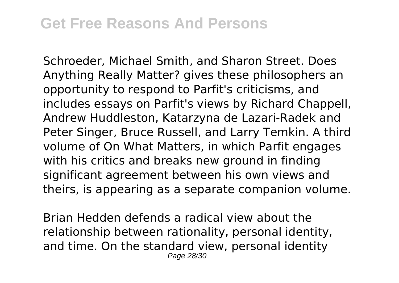Schroeder, Michael Smith, and Sharon Street. Does Anything Really Matter? gives these philosophers an opportunity to respond to Parfit's criticisms, and includes essays on Parfit's views by Richard Chappell, Andrew Huddleston, Katarzyna de Lazari-Radek and Peter Singer, Bruce Russell, and Larry Temkin. A third volume of On What Matters, in which Parfit engages with his critics and breaks new ground in finding significant agreement between his own views and theirs, is appearing as a separate companion volume.

Brian Hedden defends a radical view about the relationship between rationality, personal identity, and time. On the standard view, personal identity Page 28/30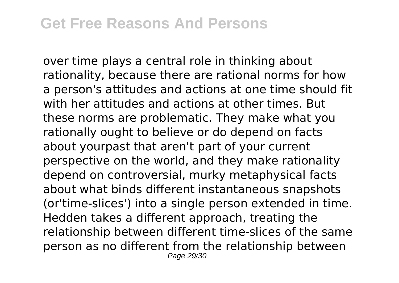over time plays a central role in thinking about rationality, because there are rational norms for how a person's attitudes and actions at one time should fit with her attitudes and actions at other times. But these norms are problematic. They make what you rationally ought to believe or do depend on facts about yourpast that aren't part of your current perspective on the world, and they make rationality depend on controversial, murky metaphysical facts about what binds different instantaneous snapshots (or'time-slices') into a single person extended in time. Hedden takes a different approach, treating the relationship between different time-slices of the same person as no different from the relationship between Page 29/30